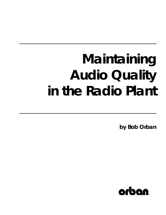# **Maintaining Audio Quality in the Radio Plant**

**by Bob Orban**

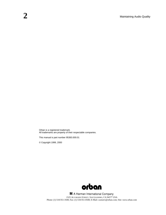Orban is a registered trademark. All trademarks are property of their respectable companies.

This manual is part number 95383.000.01

© Copyright 1999, 2000



H A Harman International Company 1525 ALVARADO STREET, SAN LEANDRO, CA 94577 USA Phone: (1) 510/351-3500; Fax: (1) 510/351-0500; E-Mail: custserv@orban.com; Site: www.orban.com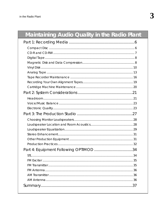# Maintaining Audio Quality in the Radio Plant

| 35 |
|----|
|    |
|    |
|    |
|    |
|    |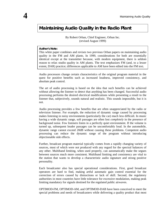# **Maintaining Audio Quality in the Radio Plant**

By Robert Orban, Chief Engineer, Orban Inc. (revised August 1999)

#### **Author's Note:**

This white paper combines and revises two previous Orban papers on maintaining audio quality in the FM and AM plants. In 1999, considerations for both are essentially identical except at the transmitter because, with modern equipment, there is seldom reason to relax studio quality in AM plants. The text emphasizes FM (and, to a lesser extent, DAR) practice; differences applicable to AM have been edited into the FM text.

Audio processors change certain characteristics of the original program material in the quest for positive benefits such as increased loudness, improved consistency, and absolute peak control.

The art of audio processing is based on the idea that such benefits can be achieved without allowing the listener to detect that anything has been changed. Successful audio processing performs the desired electrical modifications while presenting a result to the listener that, subjectively, sounds natural and realistic. This sounds impossible, but it is not.

Audio processing provides a few benefits that are often unappreciated by the radio or television listener. For example, the reduction of dynamic range caused by processing makes listening in noisy environments (particularly the car) much less difficult. In music having a wide dynamic range, soft passages are often lost *completely* in the presence of background noise. Few listeners listen in a perfectly quiet environment. If the volume is turned up, subsequent louder passages can be uncomfortably loud. In the automobile, dynamic range cannot exceed 20dB without causing these problems. Competent audio processing can reduce the dynamic range of the program without introducing objectionable side effects.

Further, broadcast program material typically comes from a rapidly changing variety of sources, most of which were not produced with any regard for the spectral balances of any other. Multiband limiting, when used properly, can automatically make the segues between sources much more consistent. Multiband limiting and consistency are vital to the station that wants to develop a characteristic audio signature and strong positive personality.

Each broadcaster also has special operational considerations. First, good broadcast operators are hard to find, making artful automatic gain control essential for the correction of errors caused by distractions or lack of skill. Second, the regulatory authorities in most countries have little tolerance for excessive modulation, making peak limiting mandatory for signals destined for the regulated public airwaves.

OPTIMOD-FM, OPTIMOD-AM, and OPTIMOD-DAB have been conceived to meet the special problems and needs of broadcasters while delivering a quality product that most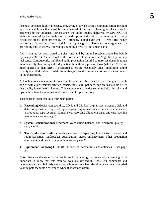listeners consider highly pleasing. However, every electronic communication medium has technical limits that must be fully heeded if the most pleasing results are to be presented to the audience. For instance, the audio quality delivered by OPTIMOD is highly influenced by the quality of the audio presented to it. If the input audio is very clean, the signal after processing will probably sound excellent — even after heavy processing. Distortion of any kind in the input signal is likely to be exaggerated by processing and, if severe, can end up sounding offensive and unlistenable.

AM is limited by poor signal-to-noise ratio and by limited receiver audio bandwidth (typically 2-3kHz). As delivered to the consumer, it can never be "high fidelity" in any real sense. Consequently, multiband audio processing for AM compresses dynamic range more severely than in typical FM practice. In addition, pre-emphasis (whether NRSC or more aggressive than NRSC) is required to ensure reasonably crisp, intelligible sound from typical AM radios. In AM this is always provided in the audio processor and never in the transmitter.

Achieving consistent state-of-the-art audio quality in broadcast is a challenging task. It begins with a professional attitude, considerable skill, patience, and an unshakable belief that quality is well worth having. This supplement provides some technical insights and tips on how to achieve immaculate audio, and keep it that way.

This paper is organized into four main parts:

- 1. **Recording Media:** compact disc, CD-R and CR-RW, digital tape, magnetic disk and data compression, vinyl disk, phonograph equipment selection and maintenance, analog tape, tape recorder maintenance, recording alignment tapes and cart machine maintenance — see page 6.
- 2. **System Considerations:** headroom, voice/music balance, and electronic quality see page 21.
- 3. **The Production Studio:** choosing monitor loudspeakers, loudspeaker location and room acoustics, loudspeaker equalization, stereo enhancement, other production equipment, and production practices — see page 27.
- 4. **Equipment Following OPTIMOD:** exciters, transmitters, and antennas see page 34.

Note: Because the state of the art in audio technology is constantly advancing, it is important to know that this material was last revised in 1999. Our comments and recommendations obviously cannot take into account later developments. We have tried to anticipate technological trends when that seemed useful.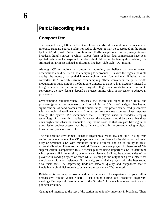# **Part 1: Recording Media**

# **Compact Disc**

The compact disc (CD), with 16-bit resolution and 44.1kHz sample rate, represents the reference standard source quality for radio, although it may be superceded in the future by DVD-Audio, with 24-bit resolution and 96kHz sample rate. Further, many stations broadcast digital sources to which various forms of lossy data compression have been applied. While we had expected the black vinyl disk to be obsolete by this revision, it is still used on-air in specialized applications like live "club-style" D.J. mixing.

Although CD technology is constantly improving, we believe that some general observations could be useful. In attempting to reproduce CDs with the highest possible quality, the industry has settled into technology using "delta-sigma" digital-to-analog converters (DACs) with extreme over-sampling. These converters use pulse width modulation or pulse-duration modulation techniques to achieve high accuracy. Instead of being dependent on the precise switching of voltages or currents to achieve accurate conversion, the new designs depend on precise timing, which is far easier to achieve in production.

Over-sampling simultaneously increases the theoretical signal-to-noise ratio and produces (prior to the reconstruction filter within the CD player) a signal that has no significant out-of-band power near the audio range. This power can be readily removed with a simple, phase-linear analog filter to ensure the most accurate phase response through the system. We recommend that CD players used in broadcast employ technology of at least this quality. However, the engineer should be aware that these units might emit substantial amounts of supersonic noise, so that low-pass filtering in the transmission audio processor must be sufficient to reject this to prevent aliasing in digital transmission processors or STLs.

The radio station environment demands ruggedness, reliability, and quick cueing from audio source equipment. The CD player must also be chosen for its ability to track even dirty or scratched CDs with minimum audible artifacts, and on its ability to resist external vibration. There are dramatic differences between players in these areas! We suggest careful comparative tests between players using imperfect CDs to determine which players click, mute, skip, or otherwise mistrack. Striking the top and sides of the player with varying degrees of force while listening to the output can give a "feel" for the player's vibration resistance. Fortunately, some of the players with the best sound also track best. The depressing trade-off between quality and ruggedness that is inevitable in vinyl disk reproduction is unnecessary when CDs are used.

Reliability is not easy to assess without experience. The experience of your fellow broadcasters can be valuable here — ask around during local broadcast engineers' meetings. Be skeptical if examination of the "insides" of the machine reveals evidence of poor construction.

Cueing and interface to the rest of the station are uniquely important in broadcast. There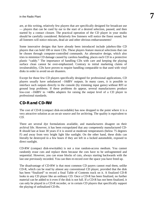are, at this writing, relatively few players that are specifically designed for broadcast use — players that can be cued by ear to the start of a desired selection, paused, and then started by a contact closure. The practical operation of the CD player in your studio should be carefully considered. Relatively few listeners will notice the finest sound, but all listeners will notice miscues, dead air and other obvious embarrassments!

Some innovative designs that have already been introduced include jukebox-like CD players that can hold 100 or more CDs. These players feature musical selections that can be chosen through computer-controlled commands. An alternative design, which also tries to minimize CD damage caused by careless handling, places each CD in a protective plastic "caddy." The importance of handling CDs with care and keeping the playing surface clean cannot be over-emphasized. Contrary to initial marketing claims of invulnerability, CDs have proven to require handling comparable to that used with vinyl disks in order to avoid on-air disasters.

Except for those few CD players specifically designed for professional applications, CD players usually have unbalanced –10dBV outputs. In many cases, it is possible to interface such outputs directly to the console (by trimming input gains) without RFI or ground loop problems. If these problems do appear, several manufacturers produce low-cost –10dBV to +4dBu adapters for raising the output level of a CD player to professional standards.

# **CD-R and CD-RW**

The cost of CD-R (compact disk-recordable) has now dropped to the point where it is a very attractive solution as an on-air source and for archiving. The quality is equivalent to CD.

There are several dye formulations available, and manufacturers disagree on their archival life. However, it has been extrapolated that any competently manufactured CD-R should last at least 30 years if it is stored at moderate temperatures (below 75 degrees F) and away from very bright light like sunlight. On the other hand, these disks can literally be destroyed in a few hours if they are left in a locked automobile, exposed to direct sunlight.

CD-RW (compact disk-rewritable) is not a true random-access medium. You cannot randomly erase cuts and replace them because the cuts have to be unfragmented and sequential. However, you can erase blocks of cuts, always starting backwards with the last one previously recorded. You can then re-record over the space you have freed up.

The disadvantage of CD-RW is that most common CD payers cannot read them, unlike CD-R, which can be read by almost any conventional CD player, provided that the disk has been "finalized" to record a final Table of Contents track on it. A finalized CD-R looks to any CD player like an ordinary CD. Once a CD-R has been finalized, no further material can be added to it even if the disk is not full. If a CD-R has not been finalized, it can only be played in a CD-R recorder, or in certain CD players that specifically support the playing of unfinalized CD-Rs.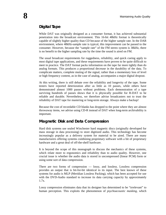# **Digital Tape**

While DAT was originally designed as a consumer format, it has achieved substantial penetration into the broadcast environment. This 16-bit 48kHz format is theoretically capable of slightly higher quality than CD because of the higher sample rate. In the DAR environment, where 48kHz-sample rate is typical, this improvement can be passed to the consumer. However, because the "sample rate" of the FM stereo system is 38kHz, there is no benefit to the higher sampling rate by the time the sound is aired on FM.

The usual broadcast requirements for ruggedness, reliability, and quick cueing apply to most digital tape applications, and these requirements have proven to be quite difficult to meet in practice. The DAT format packs information on the tape far more tightly than do analog formats. This produces a proportional decrease in the durability of the data. To complicate matters, complete muting of the signal, rather than a momentary loss of level or high frequency content, as in the case of analog, accompanies a major digital dropout.

At this writing, there is still debate over the reliability and longevity of the tape. Some testers have reported deterioration after as little as 10 passes, while others have demonstrated almost 1000 passes without problems. Each demonstration of a tape surviving hundreds of passes shows that it is physically possible for R-DAT to be reliable and durable. Nevertheless, we therefore advise broadcasters not to trust the reliability of DAT tape for mastering or long-term storage. Always make a backup!

Because the cost of recordable CD blanks has dropped to the point where they are almost throwaway items, we advise using CD-R instead of DAT when long-term archivability is important.

# **Magnetic Disk and Data Compression**

Hard disk systems use sealed Winchester hard magnetic discs (originally developed for mass storage in data processing) to store digitized audio. This technology has become increasingly popular as a delivery system for material to be aired. There are many manufacturers offering systems combining proprietary software with a bit of proprietary hardware and a great deal of off-the-shelf hardware.

It is beyond the scope of this monograph to discuss the mechanics of these systems, which relate more to ergonomics and reliability than to audio quality. However, one crucial issue is whether the audio data is stored in uncompressed (linear PCM) form or using some sort of data compression.

There are two forms of compression — lossy, and lossless. Lossless compression provides an output that is bit-for-bit identical to its input. The best known of these systems for audio is MLP (Meridian Lossless Packing), which has been accepted for use with the DVD-Audio standard to increase its data carrying capacity by approximately 1.7x.

Lossy compression eliminates data that its designer has determined to be "irrelevant" to human perception. This exploits the phenomenon of *psychoacoustic masking,* which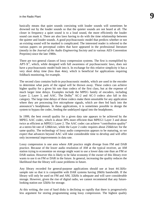basically means that quiet sounds coexisting with louder sounds will sometimes be drowned out by the louder sounds so that the quieter sounds are not heard at all. The closer in frequency a quiet sound is to a loud sound, the more efficiently the louder sound can mask it. There are also laws having to do with the time relationship between the quieter and louder sounds. A good psychoacoustic model that predicts whether or not an existing sound will be masked is complicated. The interested reader is referred to the various papers on perceptual coders that have appeared in the professional literature (mostly in the *Journal of the Audio Engineering Society* and in various AES Convention Preprints) since the late 1980s.

There are two general classes of lossy compression systems. The first is exemplified by  $APT-X^{\circ}$ , which, while designed with full awareness of psychoacoustic laws, does not have a psychoacoustic model built into it. In exchange for this relative simplicity it has a very short delay time (less than 4ms), which is beneficial for applications requiring foldback monitoring, for example.

The second class contains built-in psychoacoustic models, which are used in the encoder to determine what parts of the signal will be thrown away. These codecs can achieve higher quality for a given bit rate than codecs of the first class, but at the expense of much larger time delays. Examples include the MPEG family of encoders, including Layer 2, Layer 3, and AAC. The Dolby<sup>®</sup> AC-2 and AC-3 codecs also fall in this category. The large time delays of these codecs make them unsuitable for any application where they are processing live microphone signals, which are then fed back into the announcer's headphones. In these applications, it is sometimes possible to design the system to bypass the codec, feeding the undelayed signal into the headphones.

In 1999, the best overall quality for a given data rate appears to be achieved by the MPEG AAC codec, which is about 30% more efficient than MPEG1 Layer 3 and about twice as efficient as MPEG1 Layer 2. The AAC codec can achieve "contribution quality" at a stereo bit rate of 128kb/sec, while the Layer 2 codec requires about 256kb/sec for the same quality. The technology of lossy audio compression appears to be maturing, so we expect that advances beyond AAC will take considerable time to develop and will offer only incremental improvements in data rate.

Lossy compression is one area where AM practice might diverge from FM and DAB practice. Because of the lower audio resolution of AM at the typical receiver, an AM station trying to economize on storage might want to use a lower data rate than an FM or DAR station. However this is likely to be false economy if the owner of this library ever wants to use it on FM or DAR in the future. In general, increasing the quality reduces the likelihood that the library will cause problems in future.

Any library recorded for general-purpose applications should use at least 44.1kHzsample rate so that it is compatible with DAR systems having 20kHz bandwidth. If the library will only be used on FM and AM, 32kHz is adequate and will save considerable storage. However, given the rise of digital radio, we cannot recommend that any futurelooking station use 32kHz for storage.

At this writing, the cost of hard disks is declining so rapidly that there is progressively less argument for storing programming using lossy compression. The highest quality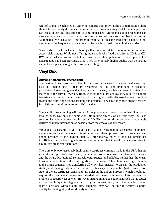will, of course, be achieved by either no compression or by lossless compression. (There should be no quality difference between these.) Cascading stages of lossy compression can cause noise and distortion to become unmasked. Multiband audio processing can also cause noise and distortion to become unmasked, because multiband processing "automatically re-equalizes" the program material so that the frequency balance is not the same as the frequency balance seen by the psychoacoustic model in the encoder.

Sony's MiniDisk format is a technology that combines data compression and randomaccess disk storage. While not offering the same level of audio quality as CD-R or CD-RW, these disks are useful for field acquisition or other applications where open-reel or cassette tape had been previously used. They offer notably higher quality than the analog media they replace, along with convenient editing.

# **Vinyl Disk**

# **Author's Note for the 1999 Edition:**

The next sections devote considerable space to the vagaries of analog media — vinyl disk and analog tape — that are becoming less and less important in broadcast production. However, given that they are still in use, we have chosen to retain this material in the current revision. Because these media are analog, they require far more tweaking and tender loving care than do the digital media discussed above. For this reason, the following sections are long and detailed. They have only been slightly revised for 1999, and therefore represent 1990 practice.

Some radio programming still comes from phonograph records — either directly, or through dubs. Not only are some club DJs mixing directly on-air from vinyl, but also some oldies have not been re-released on CD. This section discusses how to accurately retrieve as much information as possible from the grooves of any record.

Vinyl disk is capable of very high-quality audio reproduction. Consumer equipment manufacturers have developed high-fidelity cartridges, pick-up arms, turntables, and phono preamps of the highest quality. Unfortunately, much of this equipment has insufficient mechanical ruggedness for the pounding that it would typically receive in day-to-day broadcast operations.

There are only two reasonably high-quality cartridges currently made in the USA that are generally accepted to be sufficiently durable for professional use: the Stanton 681 series, and the Shure Professional series. Although rugged and reliable, neither has the clean, transparent operation of the best high-fidelity cartridges. This phono cartridge dilemma is the prime argument for transferring all vinyl disk material to tape in the production studio, and playing only tape on the air. In this way, it is possible (with care) to use state-of-the-art cartridges, arms, and turntables in the dubbing process, which should not require the mechanical ruggedness needed for on-air equipment. This reduces the problem of record wear as well. However, maintaining tape equipment such that it causes no noticeable quality degradation is by no means easy, and the smaller station (particularly one without a full-time engineer) may well be able to achieve superior quality by playing vinyl disks directly on the air.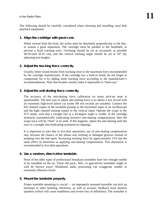The following should be carefully considered when choosing and installing vinyl disk playback equipment:

# **1. Align the cartridge with great care.**

When viewed from the front, the stylus must be absolutely perpendicular to the disc, to sustain a good separation. The cartridge must be parallel to the headshell, to prevent a fixed tracking error. Overhang should be set as accurately as possible  $\pm 1/16$ -inch (0.16 cm), and the vertical tracking angle should be set at 20 $^{\circ}$  (by adjusting arm height).

# **2. Adjust the tracking force correctly.**

Usually, better sound results from tracking close to the maximum force recommended by the cartridge manufacturer. If the cartridge has a built-in brush, do not forget to compensate for it by adding more tracking force according to the manufacturer's recommendations. Note that brushes usually make it impossible to "back-cue."

# **3. Adjust the anti-skating force correctly.**

The accuracy of the anti-skating force calibration on many pick-up arms is questionable. The best way to adjust anti-skating force is to obtain a test record with an extremely high-level lateral cut (some IM test records are suitable). Connect the left channel output of the turntable preamp to the horizontal input of an oscilloscope and the fight channel preamp output to the vertical input. Operate the scope in the X/Y mode, such that a straight line at a 45-degree angle is visible. If the cartridge mistracks asymmetrically (indicating incorrect anti-skating compensation), then the scope trace will be "bent" at its ends. If this happens, adjust the anti-skating until the trace is a straight line (indicating symmetrical clipping).

It is important to note that in live-disk operations, use of anti-skating compensation may increase the chance of the phono arm sticking in damaged grooves instead of jumping over the bad spots. Increasing tracking force by approximately 15% has the same effect on distortion as applying anti-skating compensation. This alternative is recommended in live-disk operations.

# **4. Use a modern, direct-drive turntable.**

None of the older types of professional broadcast turntables have low enough rumble to be inaudible on the air. These old puck-, belt-, or gear-driven turntables might as well be thrown away! Multiband audio processing can exaggerate rumble to extremely offensive levels.

# **5. Mount the turntable properly.**

Proper turntable mounting is crucial — an improperly mounted turntable can pick up footsteps or other building vibrations, as well as acoustic feedback from monitor speakers (which will cause muddiness and severe loss of definition). The turntable is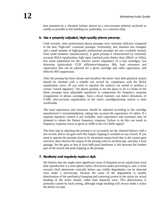best mounted on a vibration isolator placed on a non-resonant pedestal anchored as solidly as possible to the building (or, preferably, to a concrete slab).

#### **6. Use a properly adjusted, high-quality phono preamp.**

Until recently, most professional phono preamps were seriously deficient compared to the best "high-end" consumer preamps. Fortunately, this situation has changed, and a small number of high-quality professional preamps are now available (mostly from small domestic manufacturers). A good preamp is characterized by extremely accurate RIAA equalization, high input overload point (better than 100mV at 1kHz), low noise (optimized for the reactive source impedance of a real cartridge), low distortion (particularly CCIF difference-frequency IM), load resistance and capacitance that can be adjusted for a given cartridge and cable capacitance, and effective RFI suppression.

After the preamp has been chosen and installed, the entire vinyl disk playback system should be checked with a reliable test record for compliance with the RIAA equalization curve. (If you wish to equalize the station's air sound to produce a certain "sound signature," the phono preamp is *not* the place to do it.) Some of the better preamps have adjustable equalizers to compensate for frequency response irregularities in phono cartridges. Since critical listeners can detect deviations of 0.5dB, ultra-accurate equalization of the entire cartridge/preamp *system* is most worthwhile.

The load capacitance and resistance should be adjusted according to the cartridge manufacturer's recommendations, taking into account the capacitance of cables. If a separate equalizer control is not available, load capacitance and resistance may be trimmed to obtain the flattest frequency response. Failure to do this can result in frequency response errors as great as 10dB in the 10-15kHz region!

The final step in adjusting the preamp is to accurately set the channel balance with a test record, and to set gain such that output clipping is avoided on any record. If you need to operate the preamp close to its maximum output level due to the system gain structure, then observe the output of the preamp with an oscilloscope, and play a loud passage. Set the gain so that at least 6dB peak headroom is left between the loudest part of the record and peak-clipping in the preamp.

# **7. Routinely and regularly replace styli.**

We believe that the single most significant cause of distorted on-air sound from vinyl disk reproduction is a worn phono stylus. (Excessive audio processing is, alas, a close second.) Styli deteriorate sonically before any visible degradation can be detected even under a microscope, because the cause of the degradation is usually deterioration of the mechanical damping and centering system in the stylus (or actual bending of the stylus shank), rather than diamond wear. This deterioration is primarily caused by back-cueing, although rough handling will always make a stylus die before its time.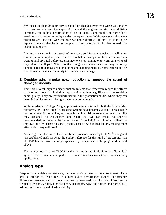Styli used on-air in 24-hour service should be changed every two weeks as a matter of course — whatever the expense! DJs and the engineering staff should listen constantly for audible deterioration of on-air quality, and should be particularly sensitive to distortion caused by a defective stylus. *Immediately* replace a stylus when problems are detected. One engineer we know destroys old styli as soon as he replaces them so that he is not tempted to keep a stock of old, deteriorated, but usable-looking styli!

It is important to maintain a stock of new spare styli for emergencies, as well as for routine periodic replacement. There is no better example of false economy than waiting until styli fail before ordering new ones, or hanging onto worn-out styli until they literally collapse! Note also that smog- and smoke-laden air may seriously contaminate and damage shank mounting and damping material. Some care should be used to seal your stock of new styli to prevent such damage.

#### **8. Consider using impulse noise reduction to improve the sound of damaged records.**

There are several impulse noise reduction systems that effectively reduce the effects of ticks and pops in vinyl disk reproduction without significantly compromising audio quality. They are particularly useful in the production studio, where they can be optimized for each cut being transferred to other media.

With the advent of "plug-in" signal processing architectures for both the PC and Mac platforms, DSP-based signal processing systems have become available at reasonable cost to remove tics, scratches, and noise from vinyl disk reproduction. In a paper like this, designed for reasonably long shelf life, we can make no specific recommendations because the performance of the individual plug-ins is likely to improve quickly. These plug-ins typically cost a few hundred dollars, making them affordable to any radio station.

At the high end, the line of hardware-based processors made by  $\mathrm{CEDAR}^{\otimes}$  in England has established itself as being the quality reference for this kind of processing. The CEDAR line is, however, *very* expensive by comparison to the plug-ins described above.

The only serious rival to CEDAR at this writing is the Sonic Solutions No-Noise® system. This is available as part of the Sonic Solutions workstations for mastering applications.

# **Analog Tape**

Despite its undeniable convenience, the tape cartridge (even at the current state of the art) is inferior to reel-to-reel in almost every performance aspect. Performance differences between cart and reel are readily measured, and include differences in frequency response, noise, high-frequency headroom, wow and flutter, and particularly azimuth and interchannel phasing stability.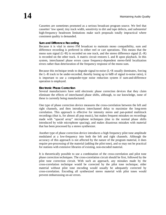Cassettes are sometimes promoted as a serious broadcast program source. We feel that cassettes' low speed, tiny track width, sensitivity to dirt and tape defects, and *substantial* high-frequency headroom limitations make such proposals totally impractical where consistent quality is demanded.

#### **Sum and Difference Recording**

Because it is vital in stereo FM broadcast to maintain mono compatibility, sum and difference recording is preferred in either reel or cart operations. This means that the mono sum signal  $(L+R)$  is recorded on one track, and the stereo difference signal  $(L-R)$ is recorded on the other track. A matrix circuit restores L and R upon playback. In this system, interchannel phase errors cause frequency-dependent stereo-field localization errors rather than deterioration of the frequency response of the mono sum.

Because this technique tends to degrade signal-to-noise (L+R usually dominates, forcing the L–R track to be under-recorded, thereby losing up to 6dB of signal to-noise ratio), it is important to use a compander-type noise reduction system if sum-and-difference operation is employed.

#### **Electronic Phase Correction**

Several manufacturers have sold electronic phase correction devices that they claim eliminate the effects of interchannel phase shifts, although, to our knowledge, none of these is currently being manufactured.

One type of phase correction device measures the cross-correlation between the left and right channels, and then introduces interchannel delay to maximize the long-term correlation. This approach is effective for intensity stereo and pan-potted multitrack recordings (that is, for almost all pop music), but makes frequent mistakes on recordings made with "spaced array" microphone techniques (due to the normal phase shifts introduced by wide microphone spacing), and makes disastrous mistakes with material that has been processed by a stereo synthesizer.

Another type of phase correction device introduces a high frequency pilot tone amplitude modulated at a low-frequency into both the left and right channels. Although the accuracy of this approach is not affected by the nature of the program material, it does require pre-processing of the material (adding the pilot tone), and so may not be practical for stations with extensive libraries of existing, non-encoded material.

It is theoretically possible to use a combination of the cross-correlation and pilot tone phase correction techniques. The cross-correlation circuit should be first, followed by the pilot tone correction circuit. With such an approach, any mistakes made by the cross-correlation technique would be corrected by the pilot tone technique; older material without pilot tone encoding would usually be adequately corrected by cross-correlation. Encoding all synthesized stereo material with pilot tones would prevent embarrassing on-air errors.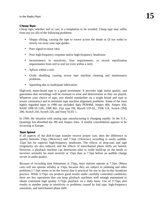#### **Cheap Tape**

Cheap tape, whether reel or cart, is a temptation to be avoided. Cheap tape may suffer from any (or all) of the following problems:

- Sloppy slitting, causing the tape to weave across the heads or (if too wide) to slowly cut away your tape guides.
- Poor signal-to-noise ratio.
- Poor high-frequency response and/or high-frequency headroom.
- Inconsistency in sensitivity, bias requirements, or record equalization requirements from reel to reel (or even within a reel).
- Splices within a reel.
- Oxide shedding, causing severe tape machine cleaning and maintenance problems.
- Squealing due to inadequate lubrication.

High-end, name-brand tape is a good investment. It provides high initial quality, and guarantees that recordings will be resistant to wear and deterioration as they are played. Whatever your choice of tape, you should standardize on a single brand and type to assure consistency and to minimize tape machine alignment problems. Some of the most highly regarded tapes in 1990 use included Agfa PEM468, Ampex 406, Ampex 456, BASF SPR-50 LHL, EMI 861, Fuji type FB, Maxell UD-XL, TDK GX, Scotch (3M) 206, Scotch 250, Scotch 226, and Sony SLH1 1.

In 1999, the situation with analog tape manufacturing is changing rapidly. In the U.S., Quantegy has absorbed the 3M and Ampex lines. A similar consolidation appears to be occurring in Europe.

#### **Tape Speed**

If all aspects of the disk-to-tape transfer receive proper care, then the difference in quality between 15ips (38cm/sec) and 7.5ips (19cm/sec) recording is easily audible. 15ips has far superior high-frequency headroom. The effects of drop-outs and tape irregularity are also reduced, and the effects of interchannel phase shifts are halved. However, a playback machine can deteriorate (due to oxide build-up on the heads or incorrect azimuth) far more severely at 15ips than at 7.5ips before an audible change occurs in audio quality.

Because of recording time limitations at 15ips, most stations operate at 7.5ips. (Many carts will not operate reliably at 15ips, because they are subject to jamming and other problems.) 7.5ips seems to be the lowest that is practical for use in day-to-day broadcast practice. While 3.75ips can produce good results under carefully controlled conditions, there are few operations that can keep playback machines well enough maintained to obtain consistent high quality 3.75ips playback on a daily basis. Use of 3.75ips also results in another jump in sensitivity to problems caused by bad tape, high-frequency saturation, and interchannel phase shift.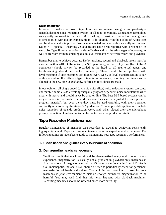#### **Noise Reduction**

In order to reduce or avoid tape hiss, we recommend using a compander-type (encode/decode) noise reduction system in all tape operations. Compander technology was greatly improved in the late 1980s, making it possible to record on analog reelto-reel at 15ips with quality comparable to 16-bit digital. Even the quality of 7.5ips carts can be dramatically improved. We have evaluated and can enthusiastically recommend Dolby SR (Spectral Recording). Good results have been reported with Telcom C4 as well. dbx Type II noise reduction is also effective and has the advantages of economy, as well as freedom from mistracking due to level mismatches between record and playback.

Remember that to achieve accurate Dolby tracking, record and playback levels must be matched within 2dB. Dolby noise (for SR operations), or the Dolby tone (for Dolby A operations) should always be recorded at the head of all reel-to-reel tapes, and level-matching should be checked frequently. There should be no problem with level-matching if tape machines are aligned every week, as level standardization is part of this procedure. If a different type of tape is put in service, recording machines must be aligned to the new tape *immediately,* before any recordings are made.

In our opinion, all single-ended (dynamic noise filter) noise reduction systems can cause undesirable audible side-effects (principally program-dependent noise modulation) when used with music, and should *never* be used on-line. The best DSP-based systems can be very effective in the production studio (where they can be adjusted for each piece of program material), but even there they must be used carefully, with their operation constantly monitored by the station's "golden ears." Some possible applications include noise reduction of outside production work, and, when placed after the microphone preamp, reduction of ambient noise in the control room or production studio.

# **Tape Recorder Maintenance**

Regular maintenance of magnetic tape recorders is crucial to achieving consistently high-quality sound. Tape machine maintenance requires expertise and experience. The following points provide a basic guide to maintaining your tape recorder's performance.

# **1. Clean heads and guides every four hours of operation.**

# **2. Demagnetize heads as necessary.**

Tradition has it that machines should be demagnetized every eight hours. In our experience, magnetization is usually not a problem in playback-only machines in fixed locations. A magnetometer with a  $\pm$ 5 gauss scale (available from R.B. Annis Co., Indianapolis, Indiana, USA) should be used to periodically check for permanent magnetization of heads and guides. You will find out how long it takes for *your* machines in *your* environment to pick up enough permanent magnetization to be harmful. You may well find that this never happens with playback machines. Recording machines should be watched much more carefully.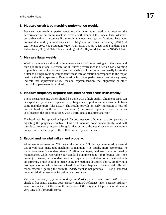# **3. Measure on-air tape machine performance weekly.**

Because tape machine performance usually deteriorates gradually, measure the performance of an on-air machine weekly with standard test tapes. Take whatever corrective action is necessary if the machine is not meeting specifications. Test tapes are manufactured by laboratories such as: Magnetic Reference Laboratory (MRL), at 229 Polaris Ave. #4, Mountain View, California 94043, USA; and Standard Tape Laboratory (STL), at 26120 Eden Landing Rd. #5, Hayward, California 94545, USA.

#### **4. Measure flutter weekly.**

Weekly maintenance should include measurement of flutter, using a flutter meter and high-quality test tape. Deterioration in flutter performance is often an early warning of possible mechanical failure. Spectrum analysis of the flutter can usually locate the flutter to a single rotating component whose rate of rotation corresponds to the major peak in the filter spectrum. Deterioration in flutter performance can, at very least, indicate that adjustment of reel tension, capstan tension, reel alignment, or other mechanical parameter is required.

# **5. Measure frequency response and interchannel phase shifts weekly.**

These measurements, which should be done with a high-quality alignment tape, can be expedited by the use of special swept frequency or pink noise tapes available from some manufacturers (like MRL). The results provide an early indication of loss of correct head azimuth, or of headwear. (The swept tapes are used with an oscilloscope; the pink noise tapes with a third-octave real time analyzer.)

The head must be replaced or lapped if it becomes worn. Do not try to compensate by adjusting the playback equalizer. This will increase noise unacceptably, and will introduce frequency response irregularities because the equalizer cannot accurately compensate for the shape of the rolloff caused by a worn head.

# **6. Record and maintain alignment properly.**

Alignment tapes wear out. With wear, the output at 15kHz may be reduced by several dB. If you have many tape machines to maintain, it is usually more economical to make your own "secondary standard" alignment tapes, and use these for weekly maintenance, while reserving your standard alignment tape for reference use. (See below.) However, a secondary standard tape is not suitable for critical azimuth adjustments. These should be made using the methods described above, employing a test tape recorded with a full-track head. Even if you happen to have an old full-track mono machine, getting the azimuth *exactly* right is not practical — use a standard commercial alignment tape for azimuth adjustments.

*The level accuracy of your secondary standard tape will deteriorate with use*  check it frequently against your primary standard reference tape. Because ordinary wear does not affect the azimuth properties of the alignment tape, it should have a very long life if properly stored.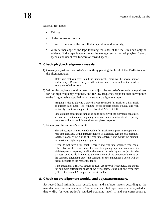Store all test tapes:

- Tails out;
- Under controlled tension:
- In an environment with controlled temperature and humidity;
- With neither edge of the tape touching the sides of the reel (this can only be achieved if the tape is wound onto the storage reel at normal playback/record speeds, and *not* at fast-forward or rewind speed).

#### **7. Check playback alignment weekly.**

A) Coarsely adjust each recorder's azimuth by peaking the level of the 15kHz tone on the alignment tape.

> Make sure that you have found the *major* peak. There will be several minor peaks many dB down, but you will not encounter these unless the head is totally out of adjustment.

B) While playing back the alignment tape, adjust the recorder's reproduce equalizers for flat high-frequency response, and for low-frequency response that corresponds to the fringing table supplied with the standard alignment tape.

> Fringing is due to playing a tape that was recorded full-track on a half track or quarter-track head. The fringing effect appears below 500Hz, and will ordinarily result in an apparent bass boost of 2-3dB at 100Hz.

> Fine azimuth adjustment cannot be done correctly if the playback equalizers are not set for identical frequency response, since non-identical frequency response will also result in non-identical phase response.

C) Fine-adjust the recorder's azimuth.

This adjustment is ideally made with a full-track mono pink noise tape and a real-time analyzer. If this instrumentation is available, sum the two channels together, connect the sum to the real-time analyzer, and adjust the azimuth for maximum high-frequency response.

If you do not have a full-track recorder and real-time analyzer, you could either observe the mono sum of a swept-frequency tape and maximize its high-frequency response, or align the master recorder by ear. Adjust for the crispest sound while listening to the mono sum of the announcer's voice on the standard alignment tape (the azimuth on the announcer's voice will be just as accurate as the rest of the tape).

If the traditional Lissajous pattern is used, use *several* frequencies, and adjust for minimum differential phase at *all* frequencies. Using just one frequency (15kHz, for example) can give incorrect results.

#### **8. Check record alignment weekly, and adjust as necessary.**

Set record head azimuth, bias, equalization, and calibrate meters according to the manufacturer's recommendations. We recommend that tape recorders be adjusted so that +4dBu (or your station's standard operating level) in and out corresponds to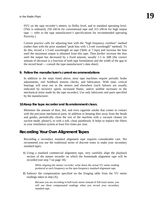0VU on the tape recorder's meters, to Dolby level, and to standard operating level. (This is ordinarily 250 nW/m for conventional tape and 315 nW/m for high output tape — refer to the tape manufacturer's specifications for recommended operating fluxivity.)

Current practice calls for adjusting bias with the "high frequency overbias" method (rather than with the prior standard "peak bias with 1.5-mil wavelength" method). To do this, record a 1.5-mil wavelength on tape (5kHz at 7.5ips) and increase the bias until the maximum output is obtained from this tape. Then *further* increase the bias until the output has decreased by a fixed amount, usually 1.5 to 3dB (the correct amount of decrease is a function of both tape formulation and the width of the gap in the record head — consult the tape manufacturer's data sheet)

#### **9. Follow the manufacturer's current recommendations**

In addition to the steps listed above, most tape machines require periodic brake adjustments, reel holdback tension checks, and lubrication. With time, critical bearings will wear out in the motors and elsewhere (such failures are usually indicated by incorrect speed, increased flutter, and/or audible increases in the mechanical noise made by the tape recorder). Use only lubricants and parts specified by the manufacturer.

#### **10.Keep the tape recorder and its environment clean.**

Minimize the amount of dust, dirt, and even cigarette smoke that comes in contact with the precision mechanical parts. In addition to keeping dust away from the heads and guides, periodically clean the rest of the machine with a vacuum cleaner (in *suction* mode, please!), or with a soft, clean paintbrush. It helps to replace the filters in your ventilation system at least five times per year.

# **Recording Your Own Alignment Tapes**

Recording a secondary standard alignment tape requires considerable care. We recommend you use the traditional series of discrete tones to make your secondary standard tapes.

A) Using a standard commercial alignment tape, very carefully align the playback section of the master recorder on which the homemade alignment tape will be recorded (see step 7 on page 18).

> *While aligning the master recorder,* write down the actual VU meter reading produced at each frequency on the spot-frequency standard alignment tape.

B) Subtract the compensation specified on the fringing table from the VU meter readings taken in step (A).

> Because you are recording in half-track stereo instead of full-track mono, you will use these compensated readings when you record your secondary standard tape.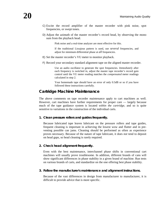- C) Excite the record amplifier of the master recorder with pink noise, spot frequencies, or swept tones.
- D) Adjust the azimuth of the master recorder's record head, by observing the mono sum from the playback head.

Pink noise and a real-time analyzer are most effective for this.

If the traditional Lissajous pattern is used, use *several* frequencies, and adjust for minimum differential phase at *all* frequencies.

- E) Set the master recorder's VU meter to monitor playback.
- F) Record your secondary standard alignment tape on the aligned master recorder.

Use an audio oscillator to generate the spot frequencies. *Immediately* after each frequency is switched in, adjust the master tape recorder's record gain control until the VU meter reading matches the *compensated* meter readings calculated in step 2.

Your homemade tape should have an error of only 0.5dB or so if you have followed these instructions carefully.

# **Cartridge Machine Maintenance**

The above comments on tape recorder maintenance apply to cart machines as well. However, cart machines have further requirements for proper care — largely because much of the tape guidance system is located *within the cartridge,* and so is quite sensitive to variations in the construction of the individual carts.

#### **1. Clean pressure rollers and guides frequently.**

Because lubricated tape leaves lubricant on the pressure rollers and tape guides, frequent cleaning is important in achieving the lowest wow and flutter and in preventing possible can jams. Cleaning should be performed as often as experience proves necessary. Because of the nature of tape lubricant, it does *not* tend to deposit on head gaps, so head cleaning is rarely required.

#### **2. Check head alignment frequently.**

Even with the best maintenance, interchannel phase shifts in conventional cart machines will usually prove troublesome. In addition, different brands of cans will show significant differences in phase stability in a given brand of machine. Run tests on various brands of carts, and standardize on the one offering best phase stability.

#### **3. Follow the manufacturer's maintenance and alignment instructions.**

Because of the vast differences in design from manufacturer to manufacturer, it is difficult to provide advice that is more specific.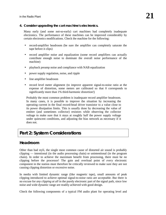# **4. Consider upgrading the cart machine's electronics.**

Many early (and some not-so-early) cart machines had completely inadequate electronics. The performance of these machines can be improved considerably by certain electronics modifications. Check the machine for the following:

- record-amplifier headroom (be sure the amplifier can completely saturate the tape before it clips)
- record amplifier noise and equalization (some record amplifiers can actually contribute enough noise to dominate the overall noise performance of the machine)
- playback preamp noise and compliance with NAB equalization
- power supply regulation, noise, and ripple
- line amplifier headroom
- record level meter alignment (to improve apparent signal-to-noise ratio at the expense of distortion, some meters are calibrated so that 0 corresponds to significantly more than 1% third-harmonic distortion!)

Probably the most common problem is inadequate record amplifier headroom. In many cases, it is possible to improve the situation by increasing the operating current in the final record-head driver transistor to a value close to its power dissipation limits. This is usually done by decreasing the value of emitter (and sometimes collector) resistors while observing the collector voltage to make sure that it stays at roughly half the power supply voltage under quiescent conditions, and adjusting the bias network as necessary if it does not.

# **Part 2: System Considerations**

# **Headroom**

Other than bad styli, the single most common cause of distorted air sound is probably clipping — intentional (in the audio processing chain) or unintentional (in the program chain). In order to achieve the maximum benefit from processing, there must be *no* clipping before the processor! The gain and overload point of *every* electronic component in the station must therefore be critically reviewed to make sure they are not causing clipping distortion or excessive noise.

In media with limited dynamic range (like magnetic tape), small amounts of peak clipping introduced to achieve optimal signal-to-noise ratio are acceptable. But there is no excuse for *any clipping at all* in the purely electronic part of the signal path, since low noise and wide dynamic range are readily achieved with good design.

Check the following components of a typical FM audio plant for operating level and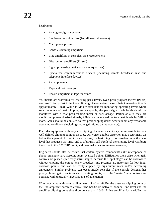#### headroom:

- Analog-to-digital converters
- Studio-to-transmitter link (land-line or microwave)
- Microphone preamps
- Console summing amplifiers
- Line amplifiers in consoles, tape recorders, etc.
- Distribution amplifiers (if used)
- Signal processing devices (such as equalizers)
- Specialized communications devices (including remote broadcast links and telephone interface devices)
- Phono preamps
- Tape and cart preamps
- Record amplifiers in tape machines

VU meters are worthless for checking peak levels. Even peak program meters (PPMs) are insufficiently fast to indicate clipping of momentary peaks (their integration time is approximately 10ms). While PPMs are excellent for monitoring operating levels where small amounts of peak clipping are acceptable, the peak signal path levels should be monitored with a *true* peak-reading meter or oscilloscope. Particularly, if they are monitoring pre-emphasized signals, PPMs can under-read the true peak levels by 5dB or more. Gains should be adjusted so that peak clipping *never* occurs under any reasonable operating conditions (including sloppy gain riding by the operator).

For older equipment with very soft clipping characteristics, it may be impossible to see a well-defined clipping point on a scope. Or, worse, audible distortion may occur many dB below the apparent clip point. In such a case, the best thing to do is to determine the peak level that produces 1% THD, and to arbitrarily call *that* level the clipping level. Calibrate the scope to this 1% THD point, and then make headroom measurements,

Engineers should also be aware that certain system components (like microphone or phono preamps) have absolute *input* overload points. Difficulties often arise when gain controls are placed *after* early active stages, because the input stages can be overloaded without clipping the output. Many broadcast mic preamps are notorious for low input overload points, and can be easily clipped by high-output mics and/or screaming announcers. Similar problems can occur inside consoles if the console designer has poorly chosen gain structures and operating points, or if the "master" gain controls are operated with unusually large amounts of attenuation.

When operating with nominal line levels of +4 or +8dBu, the *absolute* clipping point of the line amplifier becomes critical, The headroom between nominal line level and the amplifier clipping point should be greater than 16dB. A line amplifier for a +4dBu line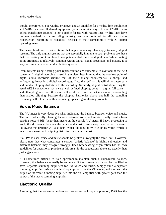should, therefore, clip at  $+20$ dBu or above, and an amplifier for a  $+8$ dBu line should clip at +24dBu or above. IC-based equipment (which almost always clips at +20dBu or so unless transformer-coupled) is not suitable for use with +8dBu lines. +4dBu lines have become standard in the recording industry, and are preferred for all new studio construction (recording or broadcast) because of their compatibility with IC opamp operating levels.

The same headroom considerations that apply to analog also apply to many digital systems. The only digital systems that are essentially immune to such problems are those that use floating point numbers to compute and distribute the digital data. While floating point arithmetic is relatively common within digital signal processors and mixers, it is very uncommon in external distribution systems.

Even systems using floating-point representation are vulnerable to overload at the A/D converter. If digital recording is used in the plant, bear in mind that the overload point of digital audio recorders (unlike that of their analog counterparts) is abrupt and unforgiving. *Never* let a digital recording go "into the red" — this will almost assuredly add audible clipping distortion to the recording. Similarly, digital distribution using the usual AES3 connections has a very well defined clipping point — digital full-scale and attempting to exceed this level will result in distortion that is even worse-sounding than analog clipping, because the clipping harmonics above one-half the sampling frequency will fold around this frequency, appearing as aliasing products.

# **Voice/Music Balance**

The VU meter is very deceptive when indicating the balance between voice and music. The most artistically pleasing balance between voice and music usually results from peaking voice 4-6dB *lower* than music on the console VU meter. If heavy processing is used, the difference between the voice and music levels may have to be increased. Following this practice will also help reduce the possibility of clipping voice, which is much more sensitive to clipping distortion than is most music.

If a PPM is used, voice and music should be peaked at roughly the same level. However, please note that what constitutes a correct "artistic balance" is highly subjective, and different listeners may disagree strongly. Each broadcasting organization has its own guidelines for operational practice in this area. So the suggestions above are exactly that: just suggestions.

It is sometimes difficult to train operators to maintain such a voice/music balance. However, this balance can easily be automated if the console has (or can be modified to have) separate summing amplifiers for live voice and music. Simply build a separate summing amplifier (using a single IC opamp) to drive the VU meter, and then sum the output of the voice-summing amplifier into the VU amplifier with greater gain than the output of the music-summing amplifier.

# **Electronic Quality**

Assuming that the transmission does not use excessive lossy compression, DAR has the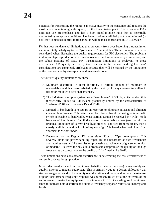potential for transmitting the highest subjective quality to the consumer and requires the most care in maintaining audio quality in the transmission plant. This is because DAR does not use pre-emphasis and has a high signal-to-noise ratio that is essentially unaffected by reception conditions. The benefits of an all-digital plant using minimal (or no) lossy compression prior to transmission will be most appreciated in DAR service.

FM has four fundamental limitations that prevent it from ever becoming a transmission medium totally satisfying to the "golden-eared" audiophiles. These limitations must be considered when discussing the quality requirements for FM electronics. The problems in disk and tape reproduction discussed above are much more severe by comparison, and the subtle masking of basic FM transmission limitations is irrelevant to those discussions. AM quality at the typical receiver is far worse, and "golden ear" considerations are completely irrelevant because they will be masked by the limitations of the receivers and by atmospheric and man-made noise.

The four FM quality limitations are these:

- A) Multipath distortion. In most locations, a certain amount of multipath is unavoidable, and this is exacerbated by the inability of many apartment-dwellers to use rotor-mounted directional antennas.
- B) The FM stereo multiplex system has a "sample rate" of 38kHz, so its bandwidth is theoretically limited to 19kHz, and practically limited by the characteristics of "real-world" filters to between 15 and 17kHz.
- C) Limited IF bandwidth is necessary in receivers to eliminate adjacent and alternate channel interference. This effect can be clearly heard by using a tuner with switch-selectable IF bandwidth. Most stations cannot be received in "wide" mode because of interference. But if the station is reasonably clean (well within the practical limitations of current broadcast practice) and free from multipath, then a clearly audible reduction in high-frequency "grit" is heard when switching from "normal" to "wide" mode.
- D) Depending on the Region, FM uses either 50µs or 75µs pre-emphasis. This severely limits the power-handling capability and headroom at high frequencies and requires very artful transmission processing to achieve a bright sound typical of modern CDs. Even the best audio processors compromise the quality of the high frequencies by comparison to the quality of "flat" media like DAR.

These limitations have considerable significance in determining the cost-effectiveness of current broadcast design practice.

Most older broadcast electronic equipment (whether tube or transistor) is measurably and audibly inferior to modem equipment. This is primarily due to a design philosophy that stressed ruggedness and RFI immunity over distortion and noise, and to the excessive use of poor transformers. Frequency response was purposely rolled off at the extremes of the audio range to make the equipment more immune to RFI. Cascading such equipment tends to increase both distortion and audible frequency response rolloffs to unacceptable levels.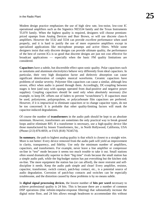Modem design practice emphasizes the use of high slew rate, low-noise, low-cost IC operational amplifiers such as the Signetics NE5534 family and the Texas Instruments TL070 family. When the highest quality is required, designers will choose premiumpriced opamps from Analog Devices and Burr Brown, or will use discrete class-A amplifiers. However the 5532 and 5534 can provide *excellent* performance when used properly, and it is hard to justify the use of more expensive amplifiers except in specialized applications like microphone preamps and active filters. While some designers insist that only discrete designs can provide ultimate quality, the performance of the best of current ICs is so good that discrete designs are just not cost effective for broadcast applications — especially when the basic FM quality limitations are considered.

**Capacitors** have a subtle, but discernible effect upon sonic quality. Polar capacitors such as tantalums and aluminum electrolytics behave very differently from ideal capacitors. In particular, their very high dissipation factor and dielectric absorption can cause significant deterioration of complex musical waveforms. Ceramic capacitors have problems of similar severity. Polyester film capacitors can cause a similar, although less severe, effect when audio is passed through them. Accordingly, DC-coupling between stages is best (and easy with opamps operated from dual-positive and negative power supplies). Coupling capacitors should be used only when absolutely necessary (for example, to keep DC offsets out of faders to prevent "scratchiness"). If capacitors must be used, polystyrene, polypropylene, or polycarbonate film capacitors are preferred. However, if it is impractical to eliminate capacitors or to change capacitor types, do not be too concerned: It is probable that other quality-limiting factors will mask the capacitor-induced degradations.

Of course the number of **transformers** in the audio path should be kept to an absolute minimum. However, transformers are sometimes the only practical way to break ground loops and/or eliminate RFI. If a transformer is necessary, use a high-quality device like those manufactured by Jensen Transformers, Inc., in North Hollywood, California, USA (Phone (213) 876-0059, or FAX (818) 7634574).

**In summary**, the path to highest analog quality is that which is closest to a straight wire. More is not better: Every device removed from the audio path will yield an improvement in clarity, transparency, and fidelity. Use only the minimum number of amplifiers, capacitors, and transformers. For example, never leave a line amplifier or compressor on-line in "test" mode because it seems too much trouble to take it out. Small stations often sound dramatically superior to their "big time" rivals because the small station has a simple audio path, while the big-budget station has put everything but the kitchen sink on-line. The more equipment the station has (or can afford), the more restraint and selfdiscipline it needs. Keep the audio path simple and clean! Every amplifier, resistor, capacitor, transformer, switch contact, patch-bay contact, etc., is a potential source of audio degradation. Corrosion of patch-bay contacts and switches can be especially troublesome, and the distortion caused by these problems is by no means subtle.

In **digital signal processing devices**, the lowest number of **bits per word** necessary to achieve professional quality is 24 bits. This is because there are a number of common DSP operations (like infinite-impulse-response filtering) that substantially increase the digital noise floor, and 24 bits allows enough headroom to accommodate this without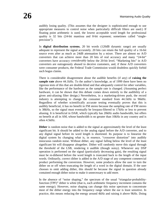audibly losing quality. (This assumes that the designer is sophisticated enough to use appropriate measures to control noise when particularly difficult filters are used.) If floating point arithmetic is used, the lowest acceptable word length for professional quality is 32 bits (24-bit mantissa and 8-bit exponent; sometimes called "singleprecision").

In **digital distribution systems**, 20 bit words (120dB dynamic range) are usually adequate to represent the signal accurately. 20 bits can retain the full quality of a 16-bit source even after as much as 24dB attenuation by a mixer. There are almost no A/D converters that can achieve more than 20 bits of real accuracy and many "24-bit" converters have accuracy *considerably* below the 20-bit level. "Marketing bits" in A/D converters are outrageously abused to deceive customers, and, if these A/D converters were consumer products, the Federal Trade Commission would doubtless quickly forbid such bogus claims.

There is considerable disagreement about the audible benefits (if any) of **raising the sample rate** above 44.1kHz. To the author's knowledge, as of 1999 there have been no rigorous tests of this that are double-blind and that adequately control for other variables, like the performance of the hardware as the sample rate is changed. (Assuming perfect hardware, it can be shown that this debate comes down entirely to the audibility of a given anti-aliasing filter design.) Nevertheless, in a marketing-driven push, the record industry is attempting to change the consumer standard from 44.1kHz to 96kHz. Regardless of whether scientifically accurate testing eventually proves that this is audibly beneficial, it has no benefit in FM stereo because the sampling rate of FM stereo is 38kHz, so the signal must eventually be lowpass-filtered to 17kHz or less to prevent aliasing. It is beneficial in DAR, which typically has 20kHz audio bandwidth, but offers no benefit at all in AM, whose bandwidth is no greater than 10kHz in any country and is often 4.5kHz.

**Dither** is random noise that is added to the signal at approximately the level of the least significant bit. It should be added to the analog signal before the A/D converter, and to any digital signal before its word length is shortened. Its purpose is to linearize the digital system by changing what is, in essence, "crossover distortion" into audibly innocuous random noise. Without dither, any signal falling below the level of the least significant bit will disappear altogether. Dither will randomly move this signal through the threshold of the LSB, rendering it audible (though noisy). Whenever any DSP operation is performed on the signal (particularly decreasing gain), the resulting signal must be re-dithered before the word length is truncated back to the length of the input words. Ordinarily, correct dither is added in the A/D stage of any competent commercial product performing the conversion. However, some products allow the user to turn the dither on or off when truncating the length of a word in the digital domain. If the user chooses to omit adding dither, this should be because the signal in question already contained enough dither noise to make it unnecessary to add more.

In the absence of "noise shaping," the spectrum of the usual "triangular-probabilityfunction (TPF)" dither is white (that is, each arithmetic frequency increment contains the same energy). However, noise shaping can change this noise spectrum to concentrate most of the dither energy into the frequency range where the ear is least sensitive. In practice, this means reducing the energy around 4kHz and raising it above 9kHz. Doing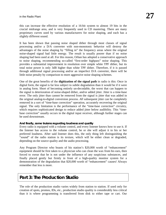this can increase the effective resolution of a 16-bit system to almost 19 bits in the crucial midrange area, and is very frequently used in CD mastering. There are many proprietary curves used by various manufacturers for noise shaping, and each has a slightly different sound.

It has been shown that passing noise shaped dither through most classes of signal processing and/or a D/A converter with non-monotonic behavior will destroy the advantages of the noise shaping by "filling in" the frequency areas where the original noise-shaped signal had little energy. The result is usually poorer than if no noise shaping had been used at all. For this reason, Orban has adopted a conservative approach to noise shaping, recommending so-called "first-order highpass" noise shaping. This provides a substantial improvement in resolution over simple white TPF dither, but its total noise power is only 3dB higher than white TPF dither. Therefore, if it is passed through additional signal processing and/or an imperfect D/A converter, there will be little noise penalty by comparison to more aggressive noise shaping schemes.

One of the great benefits of the **digitization of the signal path** in radio is this: Once in digital form, the signal is far less subject to subtle degradation than it would be if it were in analog form. Short of becoming entirely un-decodable, the worst that can happen to the signal is deterioration of noise-shaped dither, and/or added jitter. Jitter is a time-base error. The only jitter than cannot be removed from the signal is jitter that was added in the original analog-to-digital conversion process. *All* subsequent jitter can be completely removed in a sort of "time-base correction" operation, accurately recovering the original signal. The only limitation is the performance of the "time-base correction" circuitry, which requires sophisticated design to reduce added jitter below audibility. This "timebase correction" usually occurs in the digital input receiver, although further stages can be used downstream.

#### **And finally, some truisms regarding loudness and quality**

Every radio is equipped with a volume control, and every listener knows how to use it. If the listener has access to the volume control, he or she will adjust it to his or her preferred loudness. After said listener does this, the only thing left distinguishing the "sound" of the radio station is its texture, which will be either clean or degraded, depending on the source quality and the audio processing.

Any Program Director who boasts of his station's \$20,000 worth of "enhancement" equipment should be first taken to a physician who can clean the wax from his ears, then forced to swear that he is not under the influence of any suspicious substances, and finally placed gently but firmly in front of a high-quality monitor system for a demonstration of the degradation that \$20,000 worth of "enhancement" causes! Always remember that less is more.

# **Part 3: The Production Studio**

The role of the production studio varies widely from station to station. If used only for creation of spots, promos, IDs, etc., production studio quality is considerably less critical than it is where programming is transferred from disk to either tape or cart. Our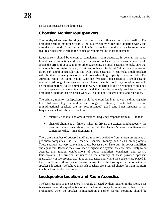discussion focuses on the latter case.

# **Choosing Monitor Loudspeakers**

The loudspeakers are the single most important influence on studio quality. The production studio monitor system is the quality reference for all production work, and thus the air sound of the station. Achieving a monitor sound that can be relied upon requires considerable care in the choice of equipment and in its adjustment.

Loudspeakers should be chosen to complement room acoustics. In general, the space limitations in production studios dictate the use of bookshelf-sized speakers. You should assess the effect of equalization or other sweetening on small speakers to make sure that excessive bass or high-frequency boost has not been introduced. While such equalization errors can sound spectacular on big, wide-range speakers, it can make small speakers with limited frequency response and power-handling capacity sound terrible. The Auratone Model 5C Super Sound Cube has frequently been used as a small speaker reference. Although these speakers are no longer manufactured, they are often available on the used market. We recommend that every production studio be equipped with a pair of these speakers or something similar, and that they be regularly used to assure the production operator that his or her work will sound good on small table and car radios.

The primary monitor loudspeakers should be chosen for: high power-handling capacity low distortion high reliability and long-term stability controlled dispersion (omnidirectional speakers are *not* recommended) good tone burst response at all frequencies lack of cabinet diffraction

- relatively flat axial and omnidirectional frequency response from 40-15,000Hz
- physical alignment of drivers (when all drivers are excited simultaneously, the resulting waveforms should arrive at the listener's ears simultaneously, sometimes called "time alignment").

There are a number of powered midfield monitors available from a large assortment of pro-audio companies, like JBL, Mackie, Genelec, Tannoy, and Alesis, among others. These speakers are very convenient to use because they have built-in power amplifiers and equalizers. Because they have been designed as a system, they are more likely to be accurate than random combinations of power amplifiers, equalizers, and passive loudspeakers. The principal influence on the accuracy of these powered speakers (particularly at low frequencies) is room acoustics and where the speakers are placed in the room. Some of these speakers allow the user to set the bass equalization to match the speaker's location. We believe that such speakers are a logical choice for main monitors in a broadcast production studio.

# **Loudspeaker Location and Room Acoustics**

The bass response of the speakers is strongly affected by their location in the room. Bass is weakest when the speaker is mounted in free air, away from any walls; bass is most pronounced when the speaker is mounted in a corner. Corner mounting should be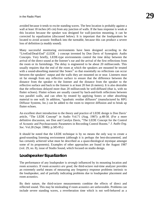avoided because it tends to excite standing waves. The best location is probably against a wall at least 18 inches (45 cm) from any junction of walls. If the bass response is weak at this location because the speaker was designed for wall-junction mounting, it can be corrected by equalization (discussed below). It is important that the loudspeakers be located to avoid acoustic feedback into the turntable, because this can produce a severe loss of definition (a muddy sound).

Many successful monitoring environments have been designed according to the "LiveEnd/Dead-End" (LEDE<sup>TM</sup>) concept invented by Don Davis of Synergistic Audio Concepts. Very briefly, LEDE-type environments control the time delay between the arrival of the direct sound at the listener's ear and the arrival of the first reflections from the room or its furnishings. The delay is engineered to be about 20 milliseconds. This usually requires that the end of the room at which the speakers are mounted be treated with a sound-absorbing material like Sonex<sup>®</sup> so that essentially no reflections can occur between the speakers' output and the walls they are mounted on or near. Listeners must sit far enough from any reflective surface to ensure that the difference between the distance from the speaker to the listener and the distance from the speaker to the reflective surface and back to the listener is at least 20 feet (6 meters). It is also desirable that the reflections delayed more than 20 milliseconds be well-diffused (that is, with no flutter echoes). Flutter echoes are usually caused by back-and-forth reflections between two parallel walls, and can often by treated by applying Sonex or other absorbing material to one wall. In addition, "quadratic residue diffusors" (manufactured by RPG Diffusor Systems, Inc.) can be added to the room to improve diffusion and to break up flutter echoes.

An excellent short introduction to the theory and practice of LEDE design is Don Davis' article, "The LEDE Concept" in Audio Vol.71 (Aug. 1987): p.48-58. (For a more definitive discussion, see Don and Carolyn Davis, "The LEDE Concept for the Control of Acoustic and Psychoacoustic Parameters in Recording Control Rooms." *J. Audio Eng. Soc.* Vol.28 (Sept. 1980): p.585-95.)

It should be noted that the LEDE technique is by no means the only way to create a good-sounding listening environment (although it is perhaps the best-documented, and has certainly achieved what must be described as a quasi-theological mystique amongst some of its proponents). Examples of other approaches are found in the August 1987 (vol. 29, no. 8), issue of Studio Sound, which focused on studio design.

# **Loudspeaker Equalization**

The performance of any loudspeaker is *strongly* influenced by its mounting location and room acoustics. If room *acoustics are good,* the third-octave real-time analyzer provides an extremely useful means of measuring any frequency response problems intrinsic to the loudspeaker, and of partially indicating problems due to loudspeaker placement and room acoustics.

By their nature, the third-octave measurements combine the effects of direct and reflected sound. This may be misleading if room acoustics are unfavorable. Problems can include severe standing waves, a reverberation time which is not well-behaved as a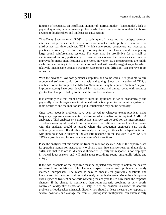function of frequency, an insufficient number of "normal modes" (Eigenmodes), lack of physical symmetry, and numerous problems which are discussed in more detail in books devoted to loudspeakers and loudspeaker equalization.

Time-Delay Spectrometry" (TDS) is a technique of measuring the loudspeaker/room interface that provides much more information about acoustic problems than does the third-octave real-time analyzer. TDS (which some sound contractors are licensed to practice) is primarily used for tuning recording studio control rooms, and for adjusting large sound reinforcement systems. The cost may be prohibitive for a small or medium-sized station, particularly if measurements reveal that acoustics can only be improved by major modifications to the room. However, TDS measurements are highly useful in determining if LEDE criteria are met, and will usually suggest ways by which relatively inexpensive acoustic treatment (absorption and diffusion) can improve room acoustics.

With the advent of low-cost personal computers and sound cards, it is possible to buy economical software to do room analysis and tuning. Since the invention of TDS, a number of other techniques like MLSSA (Maximum-Length Sequence System Analyzer; http://mlssa.com) have been developed for measuring and tuning rooms with accuracy greater than that provided by traditional third-octave analyzers.

It is certainly true that room acoustics must be optimized as far as economically and physically possible *before* electronic equalization is applied to the monitor system. (If room acoustics and the monitor are good, equalization may not be necessary.)

Once room acoustic problems have been solved to whatever extent practical, make frequency response measurements to determine what equalization is required. A MLSSA analyzer, a TDS analyzer or a third-octave analyzer can be used for the measurements. To obtain meaningful results from the analyzer, the calibrated microphone that comes with the analyzer should be placed where the production engineer's ears would ordinarily be located. If a third-octave analyzer is used, excite each loudspeaker in turn with pink noise while observing the acoustic response on the analyzer. If a MLSSA or TDS analyzer is used, follow the manufacturer's instructions.

Place the analyzer test mic about 1m from the monitor speaker. Adjust the equalizer (see its operating manual for instructions) to obtain a real-time analyzer read-out that is flat to 5kHz, and that rolls off at 3dB/octave thereafter. (A truly flat response is not employed in typical loudspeakers, and will make most recordings sound unnaturally bright and noisy.)

If the two channels of the equalizer must be adjusted differently to obtain the desired response from the left and right channels, suspect room acoustic problems or poorly matched loudspeakers. The match is easy to check: Just physically substitute one loudspeaker for the other, and see if the analyzer reads the same. Move the microphone over a space of two feet or so while watching the analyzer to see how much the response changes. If the change is significant, then room acoustic problems or very poorly controlled loudspeaker dispersion is likely. If it is not possible to correct the acoustic problem or loudspeaker mismatch directly, you should at least measure the response at several positions and average the results. (Microphone multiplexers can automatically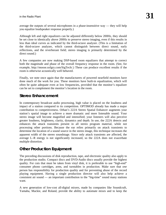average the outputs of several microphones in a phase-insensitive way — they will help you equalize loudspeaker response properly.)

Although left and right equalizers can be adjusted differently below 200Hz, they should be set close to identically above 200Hz to preserve stereo imaging, even if this results in less than ideal curves as indicated by the third-octave analyzer. (This is a limitation of the third-octave analyzer, which cannot distinguish between direct sound, early reflections, and the reverberant field; stereo imaging is primarily determined by the direct sound.)

A few companies are now making DSP-based room equalizers that attempt to correct both the magnitude and phase of the overall frequency response in the room. (See, for example, http://moose.sofgry.com/SigTech/.) These can produce excellent results if the room is otherwise acoustically well behaved.

Finally, we note once again that the manufacturers of powered nearfield monitors have done much of the work for you. These monitors have built-in equalization, which will often be quite adequate even at low frequencies, provided that the monitor's equalizer can be set to complement the monitor's location in the room.

# **Stereo Enhancement**

In contemporary broadcast audio processing, high value is placed on the loudness and impact of a station compared to its competition. OPTIMOD already has made a major contribution to competitiveness. Orban's 222A Stereo Spatial Enhancer augments your station's spatial image to achieve a more dramatic and more listenable sound. Your stereo image will become magnified and intensified; your listeners will also perceive greater loudness, brightness, clarity, dynamics and depth. In use, the 222A detects and enhances the attack transients present in all stereo program material, while not processing other portions. Because the ear relies primarily on attack transients to determine the location of a sound source in the stereo image, this technique increases the apparent width of the stereo soundstage. Since only attack transients are affected, the average L–R energy is not significantly increased, so the 222A does not exacerbate multiple distortion.

# **Other Production Equipment**

The preceding discussions of disk reproduction, tape, and electronic quality also apply to the production studio. Compact discs and DVD-Audio discs usually provide the highest quality. For cuts that must be taken from vinyl disk, it is preferable to use "high-end" consumer phono cartridges, arms, and turntables in production. Make sure that *one* person has responsibility for production quality and for preventing abuse of the record playing equipment. Having a single production director will also help achieve a consistent air sound — an important contribution to the "big-time" sound many stations want.

A new generation of low-cost all-digital mixers, made by companies like Soundcraft, Yamaha, Mackie, and Roland, provide the ability to automate mixes and to keep the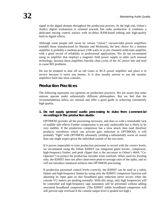signal in the digital domain throughout the production process. At the high end, Orban's Audicy digital workstation is oriented towards fast radio production. It combines a dedicated mixing control surface with no-delay RAM-based editing and high-quality built-in digital effects.

Although some people still swear by certain "classic" vacuum-tube power amplifiers (notably those manufactured by Marantz and McIntosh), the best choice for a monitor amplifier is probably a medium-power (100 watts or so per channel) solid-state amplifier with a good record of reliability in professional applications. We do not recommend using an amplifier that employs a magnetic field power supply or other such unusual technology, because these amplifiers literally chop cycles of the AC power line and tend to cause RFI problems.

Do not be tempted to dust off an old Gates or RCA power amplifier and place it in service because it saves you money. It is also usually unwise to use the monitor amplifiers built into most consoles.

# **Production Practices**

The following represents our opinions on production practices. We are aware that some stations operate under substantially different philosophies. But we feel that the recommendations below are rational and offer a good guide to achieving consistently high quality.

# **1. Do not apply general audio processing to dubs from commercial recordings in the production studio.**

OPTIMOD provides all the processing necessary, and does so with a remarkable lack of audible side effects Further compression is not only undesirable but is likely to be very audible. If the production compressor has a slow attack time (and therefore produces overshoots which can activate gain reduction in OPTIMOD), it will probably "fight" with OPTIMOD, ultimately yielding a substantially worse air sound than one might expect given the individual sounds of the two units.

If it proves impossible to train production personnel to record with the correct levels, we recommend using the Orban 8200ST (an integrated gated leveler, compressor, high-frequency limiter, and peak clipper that is the successor to Orban's 464A "Co-Operator") to protect the production recorder from overload. When used for leveling only, the 8200ST does not affect short-term peak-to-average ratio of the audio, and so will not introduce unnatural artifacts into OPTIMOD processing.

If production personnel control levels correctly, the 8200ST can be used as a safety limiter and high-frequency limiter by using only the 8200ST compressor function and adjusting its input gain so that broadband gain reduction never occurs when the console VU meters are peaking normally. With this setup, only high frequencies will be controlled and high-frequency tape saturation will be prevented without adding unwanted broadband compression. (The 8200ST subtle broadband compressor will still prevent tape overload if the console output level is peaked too high.)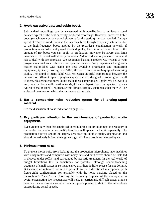#### **2. Avoid excessive bass and treble boost.**

Substandard recordings can be sweetened with equalization to achieve a tonal balance typical of the best currently produced recordings. However, excessive treble boost (to achieve a certain sound signature for the station) must be avoided if a tape speed of 7.5ips is used, because the tape is subject to high-frequency saturation due to the high-frequency boost applied by the recorder's equalization network. If production is recorded and played on-air digitally, there is no effective limit to the amount of HF boost you can apply in production. However be aware that large amounts of HF boost will stress your on-air AM or FM audio processor because it has to deal with pre-emphasis. We recommend using a modern CD typical of your program material as a reference for spectral balance. Very experienced engineers master major-label CDs using the best available processing and monitoring equipment, typically costing over \$100,000 per room in a well-equipped mastering studio. The sound of major-label CDs represents an artful compromise between the demands of different types of playback systems and is designed to sound good on all of them. Mastering engineers do not make these compromises lightly. We believe it is very unwise for a radio station to significantly depart from the spectral balance typical of major-label CDs, because this almost certainly guarantees that there will be a class of receivers on which the station sounds terrible.

#### **3. Use a compander noise reduction system for all analog-taped material.**

See the discussion of noise reduction on page 16.

# **4. Pay particular attention to the maintenance of production studio equipment.**

Even greater care than that employed in maintaining on-air equipment is necessary in the production studio, since quality loss here will appear on the air repeatedly. The production director should be acutely sensitized to audible quality degradation and should immediately inform the engineering staff of any problems detected by ear.

#### **5. Minimize motor noise.**

To prevent motor noise from leaking into the production microphone, tape machines with noisy motors and computers with noisy fans and hard drives should be installed in alcoves under soffits, and surrounded by acoustic treatment. In the real world of budget limitations this is sometimes not possible, although sound-deadening treatment of small spaces is so inexpensive that there is little excuse for not doing it. But even in an untreated room, it is possible to use a directional microphone (with figure-eight configuration, for example) with the noisy machine placed on the microphone's "dead" axis. Choosing the frequency response of the microphone to avoid exaggerating low frequencies will help. In particularly difficult cases, a noise gate or expander can be used after the microphone preamp to shut off the microphone except during actual speech.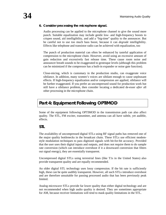# **6. Consider processing the microphone signal.**

Audio processing can be applied to the microphone channel to give the sound more punch. Suitable equalization may include gentle low- and high-frequency boosts to crispen sound, aid intelligibility, and add a "big-time" quality to the announcer. But be careful not to use too much bass boost, because it can *degrade* intelligibility. Effects like telephone and transistor radio can be achieved with equalization, too

The punch of production material can often be enhanced by tasteful application of compression to the microphone chain. However, avoid using an excessive amount of gain reduction and excessively fast release time. These cause room noise and announcer breath sounds to be exaggerated to grotesque levels (although this problem can be minimized if the compressor has a built-in expander or noise gate function).

Close-micing, which is customary in the production studio, can exaggerate voice sibilance. In addition, many women's voices are sibilant enough to cause unpleasant effects. If high-frequency equalization and/or compression are applied, sibilance will be further exaggerated. If you prefer an uncompressed sound for production work but still have a sibilance problem, then consider locating a dedicated de-esser *after* all other processing in the microphone chain.

# **Part 4: Equipment Following OPTIMOD**

Some of the equipment following OPTIMOD in the transmission path can also affect quality. The STL, FM exciter, transmitter, and antenna can all have subtle, yet audible, effects.

# **STL**

The availability of uncompressed digital STLs using RF signal paths has removed one of the major quality bottlenecks in the broadcast chain. These STLs use efficient modemstyle modulation techniques to pass digitized signals with bit-for-bit accuracy. Provided that the user uses their digital inputs and outputs, and does not require them to do sample rate conversion (which can introduce overshoot if it a downward conversion that filters out signal energy), they are essentially transparent.

Uncompressed digital STLs using terrestrial lines (like T1s in the United States) also provide transparent quality and are equally recommended.

An older digital STL technology uses lossy compression. If the bit rate is sufficiently high, these can be quite audibly transparent. However, all such STLs introduce overshoot and are therefore unsuitable for passing processed audio that has been previously peak limited.

Analog microwave STLs provide far lower quality than either digital technology and are not recommended when high audio quality is desired. They are sometimes appropriate for AM, because receiver limitations will tend to mask quality limitations in the STL.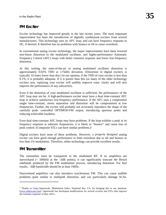# **FM Exciter**

Exciter technology has improved greatly in the last twenty years. The most important improvement has been the introduction of digitally synthesized exciters from several manufacturers. This technology uses no AFC loop, and can have frequency response to DC, if desired. It therefore has no problems with bounce or tilt to cause overshoot.

In conventional analog exciter technology, the major improvements have been lowered non-linear distortion in the modulated oscillator, and higher-performance Automatic Frequency Control (AFC) loops with better transient response and lower low-frequency distortion.

At this writing, the state-of-the-art in analog modulated oscillator distortion is approximately  $0.02\%$  THD at  $\pm 75$  kHz deviation. (Distortion in digital exciters is typically 10 times lower than this.) In our opinion, if the THD of your exciter is less than 0.1%, it is probably adequate. If it is poorer than this (as many of the older technology exciters are), replacing your exciter will audibly improve sonic clarity and will also improve the performance of any subcarriers.

Even if the distortion of your modulated oscillator is sufficient, the performance of the AFC loop may not be. A high-performance exciter must have a dual time-constant AFC loop to achieve satisfactory low-frequency performance. If the AFC uses a compromise single time-constant, stereo separation and distortion will be compromised at low frequencies. Further, the exciter will probably not accurately reproduce the shape of the carefully peak- controlled OPTIMOD-FM output, introducing spurious peaks and reducing achievable loudness.

Even dual time-constant AFC loops may have problems. If the loop exhibits a peak in its frequency response at subsonic frequencies, it is likely to "bounce" and cause loss of peak control. (Composite STLs can have similar problems.)1

Digital exciters have none of these problems. However, a *properly designed* analog exciter can have good enough performance to limit overshoot due to tilt and bounce to less than 1% modulation. Therefore, either technology can provide excellent results.

# **FM Transmitter**

l

The transmitter must be transparent to the modulated RF. If its amplifiers are narrowband (< 500kHz at the –3dB points), it can significantly truncate the Bessel sidebands produced by the FM modulation process, introducing distortion. For best results, –3dB bandwidth should be at least 1MHz.

Narrowband amplifiers can also introduce synchronous FM. This can cause audible problems quite similar to multipath distortion, and can particularly damage SCAs.

<sup>&</sup>lt;sup>1</sup> Thanks to Greg Oqonowski, Modulation Index, Diamond Bar, CA, for bringing this to our attention. (www.indexcom.com). Ogonowski has developed modifications for several exciters and STLs that improve the transient response of their AFCs.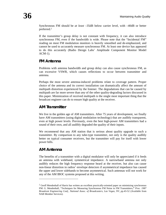Synchronous FM should be *at least* –35dB below carrier level, with –40dB or better preferred.2

If the transmitter's group delay is not constant with frequency, it can also introduce synchronous FM, even if the bandwidth is wide. Please note that the "Incidental FM" reading on most FM modulation monitors is heavily smoothed and de-emphasized, and cannot be used to accurately measure synchronous FM. At least one device has appeared to do this accurately (Radio Design Labs' Amplitude Component Monitor Model ACM-1).

# **FM Antenna**

Problems with antenna bandwidth and group delay can also cause synchronous FM, as can excessive VSWR, which causes reflections to occur between transmitter and antenna.

Perhaps the most severe antenna-induced problems relate to coverage pattern. Proper choice of the antenna and its correct installation can dramatically affect the amount of multipath distortion experienced by the listener. The degradations that can be caused by multipath are far more severe than *any* of the other quality-degrading factors discussed in this paper. Minimization of received multipath is the single most important thing that the broadcast engineer can do to ensure high quality at the receiver.

# **AM Transmitter**

We live in the golden age of AM transmitters. After 75 years of development, we finally have AM transmitters (using digital modulation technology) that are audibly transparent, even at high power levels. Previously, even the best high-power AM transmitters had a sound of their own, and all audibly degraded the quality of their inputs.

We recommend that any AM station that is serious about quality upgrade to such a transmitter. By comparison to any tube-type transmitter, not only is the quality audibly better on typical consumer receivers, but the transmitter will pay for itself with lower power bills.

# **AM Antenna**

l

The benefits of a transmitter with a digital modulator will only be appreciated if it feeds an antenna with wideband, symmetrical impedance. A narrowband antenna not only audibly reduces the high frequency response heard at the receiver, but also can cause non-linear distortion in radios' envelope detectors if asymmetrical impedance has caused the upper and lower sidebands to become asymmetrical. Such antennas will not work for any of the AM IBOC systems proposed at this writing.

<sup>&</sup>lt;sup>2</sup> Geoff Mendenhall of Harris has written an excellent practically-oriented paper on minimizing synchronous FM: G. Mendenhall, "Techniques for Measuring Synchronous FM Noise in FM Transmitters,**"** *Proc. 1987 Broadcast Engineering Conf., National Assoc. of Broadcasters, Las Vegas, NV, p*p.43-52 (Available from NAB Member Services).